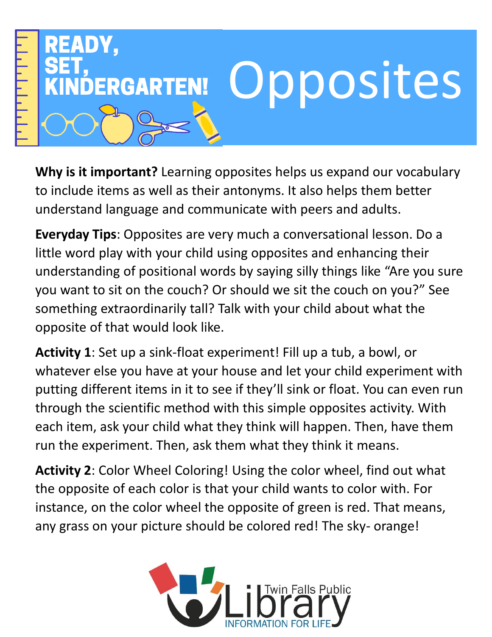

**Why is it important?** Learning opposites helps us expand our vocabulary to include items as well as their antonyms. It also helps them better understand language and communicate with peers and adults.

**Everyday Tips**: Opposites are very much a conversational lesson. Do a little word play with your child using opposites and enhancing their understanding of positional words by saying silly things like "Are you sure you want to sit on the couch? Or should we sit the couch on you?" See something extraordinarily tall? Talk with your child about what the opposite of that would look like.

**Activity 1**: Set up a sink-float experiment! Fill up a tub, a bowl, or whatever else you have at your house and let your child experiment with putting different items in it to see if they'll sink or float. You can even run through the scientific method with this simple opposites activity. With each item, ask your child what they think will happen. Then, have them run the experiment. Then, ask them what they think it means.

**Activity 2**: Color Wheel Coloring! Using the color wheel, find out what the opposite of each color is that your child wants to color with. For instance, on the color wheel the opposite of green is red. That means, any grass on your picture should be colored red! The sky- orange!